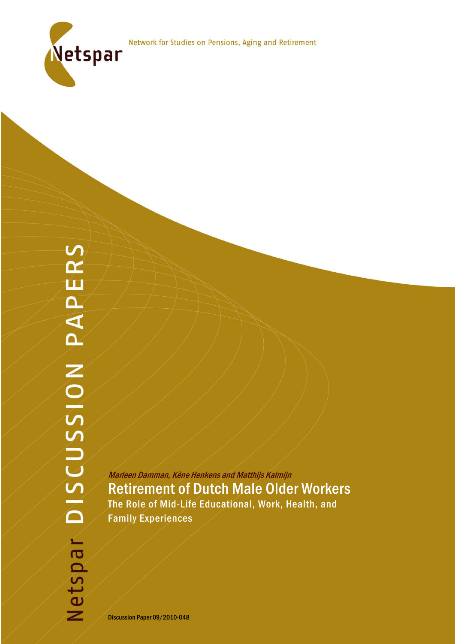

Marleen Damman, Kène Henkens and Matthijs Kalmijn Retirement of Dutch Male Older Workers The Role of Mid-Life Educational, Work, Health, and Family Experiences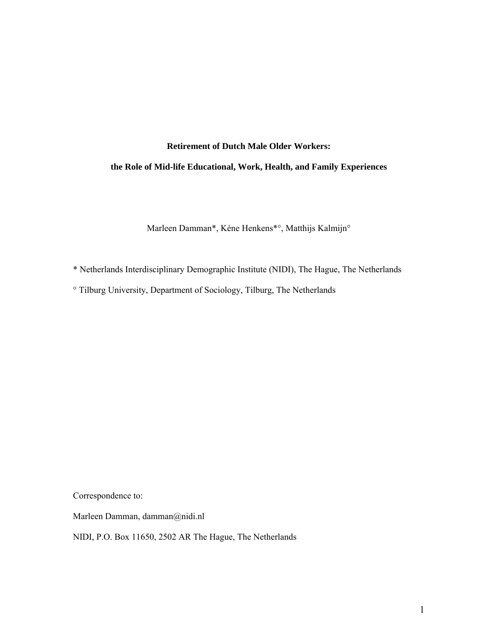# **Retirement of Dutch Male Older Workers:**

# **the Role of Mid-life Educational, Work, Health, and Family Experiences**

Marleen Damman\*, Kène Henkens\*°, Matthijs Kalmijn°

\* Netherlands Interdisciplinary Demographic Institute (NIDI), The Hague, The Netherlands

° Tilburg University, Department of Sociology, Tilburg, The Netherlands

Correspondence to:

Marleen Damman, damman@nidi.nl

NIDI, P.O. Box 11650, 2502 AR The Hague, The Netherlands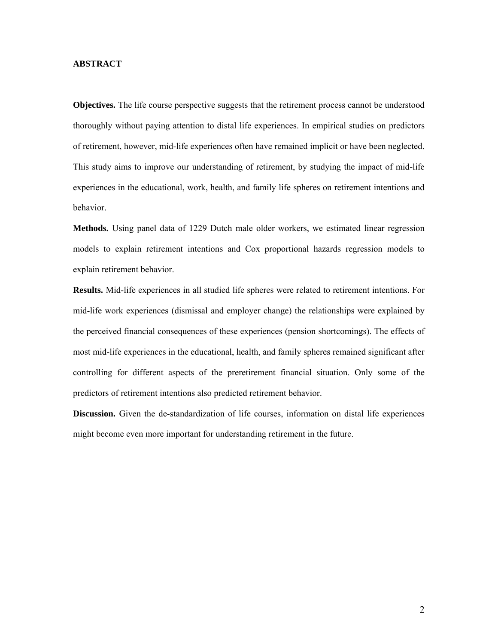# **ABSTRACT**

**Objectives.** The life course perspective suggests that the retirement process cannot be understood thoroughly without paying attention to distal life experiences. In empirical studies on predictors of retirement, however, mid-life experiences often have remained implicit or have been neglected. This study aims to improve our understanding of retirement, by studying the impact of mid-life experiences in the educational, work, health, and family life spheres on retirement intentions and behavior.

**Methods.** Using panel data of 1229 Dutch male older workers, we estimated linear regression models to explain retirement intentions and Cox proportional hazards regression models to explain retirement behavior.

**Results.** Mid-life experiences in all studied life spheres were related to retirement intentions. For mid-life work experiences (dismissal and employer change) the relationships were explained by the perceived financial consequences of these experiences (pension shortcomings). The effects of most mid-life experiences in the educational, health, and family spheres remained significant after controlling for different aspects of the preretirement financial situation. Only some of the predictors of retirement intentions also predicted retirement behavior.

**Discussion.** Given the de-standardization of life courses, information on distal life experiences might become even more important for understanding retirement in the future.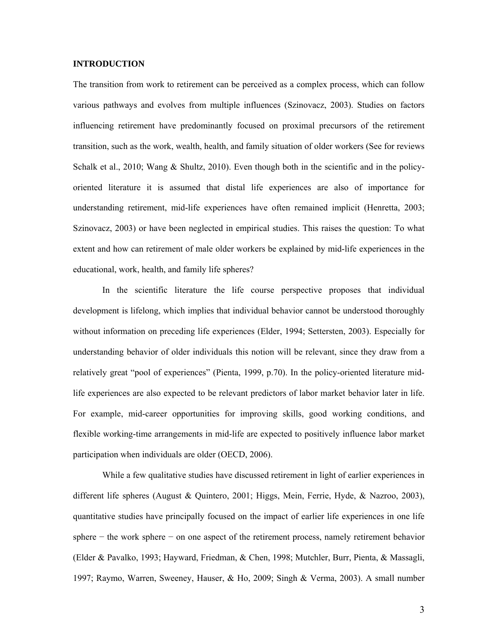# **INTRODUCTION**

The transition from work to retirement can be perceived as a complex process, which can follow various pathways and evolves from multiple influences (Szinovacz, 2003). Studies on factors influencing retirement have predominantly focused on proximal precursors of the retirement transition, such as the work, wealth, health, and family situation of older workers (See for reviews Schalk et al., 2010; Wang & Shultz, 2010). Even though both in the scientific and in the policyoriented literature it is assumed that distal life experiences are also of importance for understanding retirement, mid-life experiences have often remained implicit (Henretta, 2003; Szinovacz, 2003) or have been neglected in empirical studies. This raises the question: To what extent and how can retirement of male older workers be explained by mid-life experiences in the educational, work, health, and family life spheres?

In the scientific literature the life course perspective proposes that individual development is lifelong, which implies that individual behavior cannot be understood thoroughly without information on preceding life experiences (Elder, 1994; Settersten, 2003). Especially for understanding behavior of older individuals this notion will be relevant, since they draw from a relatively great "pool of experiences" (Pienta, 1999, p.70). In the policy-oriented literature midlife experiences are also expected to be relevant predictors of labor market behavior later in life. For example, mid-career opportunities for improving skills, good working conditions, and flexible working-time arrangements in mid-life are expected to positively influence labor market participation when individuals are older (OECD, 2006).

While a few qualitative studies have discussed retirement in light of earlier experiences in different life spheres (August & Quintero, 2001; Higgs, Mein, Ferrie, Hyde, & Nazroo, 2003), quantitative studies have principally focused on the impact of earlier life experiences in one life sphere – the work sphere – on one aspect of the retirement process, namely retirement behavior (Elder & Pavalko, 1993; Hayward, Friedman, & Chen, 1998; Mutchler, Burr, Pienta, & Massagli, 1997; Raymo, Warren, Sweeney, Hauser, & Ho, 2009; Singh & Verma, 2003). A small number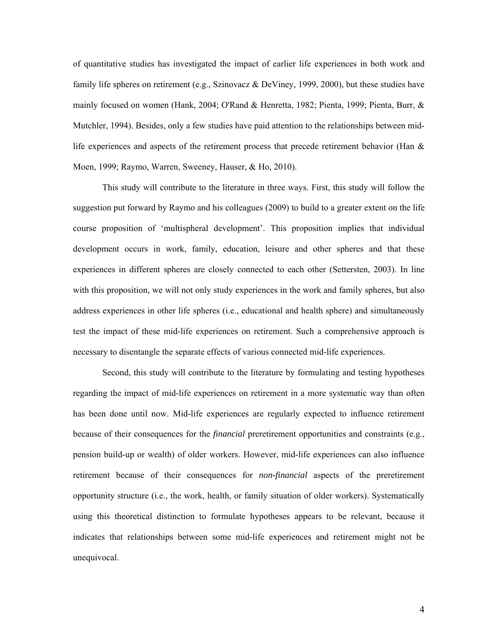of quantitative studies has investigated the impact of earlier life experiences in both work and family life spheres on retirement (e.g., Szinovacz & DeViney, 1999, 2000), but these studies have mainly focused on women (Hank, 2004; O'Rand & Henretta, 1982; Pienta, 1999; Pienta, Burr, & Mutchler, 1994). Besides, only a few studies have paid attention to the relationships between midlife experiences and aspects of the retirement process that precede retirement behavior (Han  $\&$ Moen, 1999; Raymo, Warren, Sweeney, Hauser, & Ho, 2010).

This study will contribute to the literature in three ways. First, this study will follow the suggestion put forward by Raymo and his colleagues (2009) to build to a greater extent on the life course proposition of 'multispheral development'. This proposition implies that individual development occurs in work, family, education, leisure and other spheres and that these experiences in different spheres are closely connected to each other (Settersten, 2003). In line with this proposition, we will not only study experiences in the work and family spheres, but also address experiences in other life spheres (i.e., educational and health sphere) and simultaneously test the impact of these mid-life experiences on retirement. Such a comprehensive approach is necessary to disentangle the separate effects of various connected mid-life experiences.

Second, this study will contribute to the literature by formulating and testing hypotheses regarding the impact of mid-life experiences on retirement in a more systematic way than often has been done until now. Mid-life experiences are regularly expected to influence retirement because of their consequences for the *financial* preretirement opportunities and constraints (e.g., pension build-up or wealth) of older workers. However, mid-life experiences can also influence retirement because of their consequences for *non-financial* aspects of the preretirement opportunity structure (i.e., the work, health, or family situation of older workers). Systematically using this theoretical distinction to formulate hypotheses appears to be relevant, because it indicates that relationships between some mid-life experiences and retirement might not be unequivocal.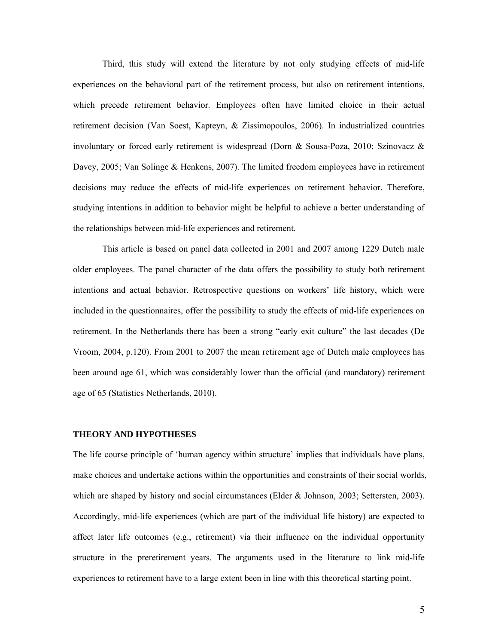Third, this study will extend the literature by not only studying effects of mid-life experiences on the behavioral part of the retirement process, but also on retirement intentions, which precede retirement behavior. Employees often have limited choice in their actual retirement decision (Van Soest, Kapteyn, & Zissimopoulos, 2006). In industrialized countries involuntary or forced early retirement is widespread (Dorn & Sousa-Poza, 2010; Szinovacz & Davey, 2005; Van Solinge & Henkens, 2007). The limited freedom employees have in retirement decisions may reduce the effects of mid-life experiences on retirement behavior. Therefore, studying intentions in addition to behavior might be helpful to achieve a better understanding of the relationships between mid-life experiences and retirement.

This article is based on panel data collected in 2001 and 2007 among 1229 Dutch male older employees. The panel character of the data offers the possibility to study both retirement intentions and actual behavior. Retrospective questions on workers' life history, which were included in the questionnaires, offer the possibility to study the effects of mid-life experiences on retirement. In the Netherlands there has been a strong "early exit culture" the last decades (De Vroom, 2004, p.120). From 2001 to 2007 the mean retirement age of Dutch male employees has been around age 61, which was considerably lower than the official (and mandatory) retirement age of 65 (Statistics Netherlands, 2010).

# **THEORY AND HYPOTHESES**

The life course principle of 'human agency within structure' implies that individuals have plans, make choices and undertake actions within the opportunities and constraints of their social worlds, which are shaped by history and social circumstances (Elder & Johnson, 2003; Settersten, 2003). Accordingly, mid-life experiences (which are part of the individual life history) are expected to affect later life outcomes (e.g., retirement) via their influence on the individual opportunity structure in the preretirement years. The arguments used in the literature to link mid-life experiences to retirement have to a large extent been in line with this theoretical starting point.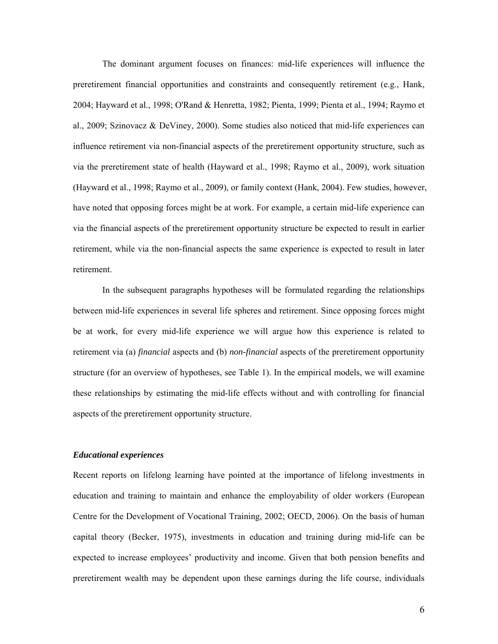The dominant argument focuses on finances: mid-life experiences will influence the preretirement financial opportunities and constraints and consequently retirement (e.g., Hank, 2004; Hayward et al., 1998; O'Rand & Henretta, 1982; Pienta, 1999; Pienta et al., 1994; Raymo et al., 2009; Szinovacz & DeViney, 2000). Some studies also noticed that mid-life experiences can influence retirement via non-financial aspects of the preretirement opportunity structure, such as via the preretirement state of health (Hayward et al., 1998; Raymo et al., 2009), work situation (Hayward et al., 1998; Raymo et al., 2009), or family context (Hank, 2004). Few studies, however, have noted that opposing forces might be at work. For example, a certain mid-life experience can via the financial aspects of the preretirement opportunity structure be expected to result in earlier retirement, while via the non-financial aspects the same experience is expected to result in later retirement.

In the subsequent paragraphs hypotheses will be formulated regarding the relationships between mid-life experiences in several life spheres and retirement. Since opposing forces might be at work, for every mid-life experience we will argue how this experience is related to retirement via (a) *financial* aspects and (b) *non-financial* aspects of the preretirement opportunity structure (for an overview of hypotheses, see Table 1). In the empirical models, we will examine these relationships by estimating the mid-life effects without and with controlling for financial aspects of the preretirement opportunity structure.

#### *Educational experiences*

Recent reports on lifelong learning have pointed at the importance of lifelong investments in education and training to maintain and enhance the employability of older workers (European Centre for the Development of Vocational Training, 2002; OECD, 2006). On the basis of human capital theory (Becker, 1975), investments in education and training during mid-life can be expected to increase employees' productivity and income. Given that both pension benefits and preretirement wealth may be dependent upon these earnings during the life course, individuals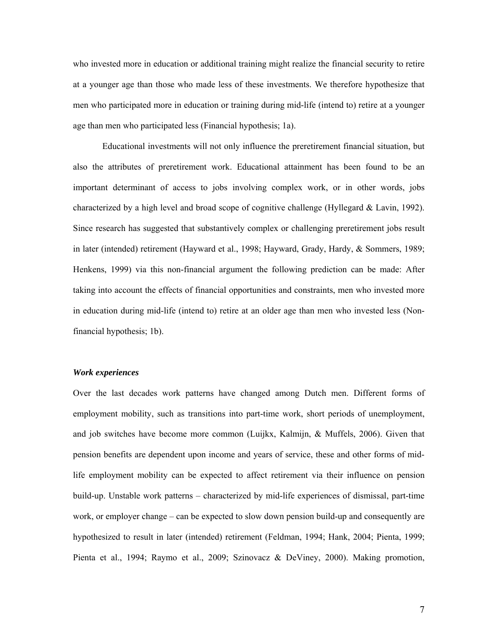who invested more in education or additional training might realize the financial security to retire at a younger age than those who made less of these investments. We therefore hypothesize that men who participated more in education or training during mid-life (intend to) retire at a younger age than men who participated less (Financial hypothesis; 1a).

Educational investments will not only influence the preretirement financial situation, but also the attributes of preretirement work. Educational attainment has been found to be an important determinant of access to jobs involving complex work, or in other words, jobs characterized by a high level and broad scope of cognitive challenge (Hyllegard & Lavin, 1992). Since research has suggested that substantively complex or challenging preretirement jobs result in later (intended) retirement (Hayward et al., 1998; Hayward, Grady, Hardy, & Sommers, 1989; Henkens, 1999) via this non-financial argument the following prediction can be made: After taking into account the effects of financial opportunities and constraints, men who invested more in education during mid-life (intend to) retire at an older age than men who invested less (Nonfinancial hypothesis; 1b).

## *Work experiences*

Over the last decades work patterns have changed among Dutch men. Different forms of employment mobility, such as transitions into part-time work, short periods of unemployment, and job switches have become more common (Luijkx, Kalmijn, & Muffels, 2006). Given that pension benefits are dependent upon income and years of service, these and other forms of midlife employment mobility can be expected to affect retirement via their influence on pension build-up. Unstable work patterns – characterized by mid-life experiences of dismissal, part-time work, or employer change – can be expected to slow down pension build-up and consequently are hypothesized to result in later (intended) retirement (Feldman, 1994; Hank, 2004; Pienta, 1999; Pienta et al., 1994; Raymo et al., 2009; Szinovacz & DeViney, 2000). Making promotion,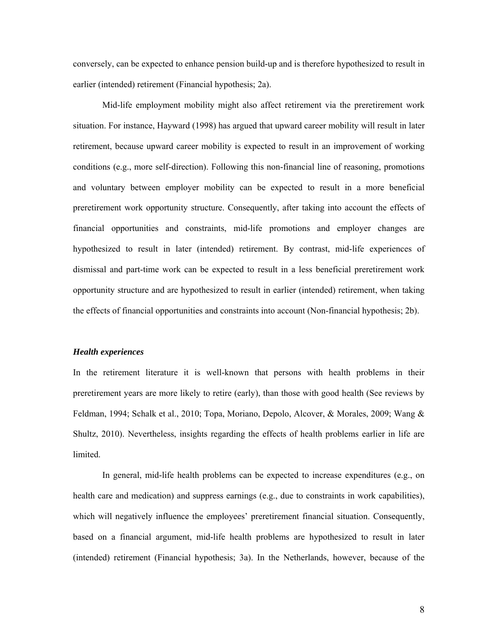conversely, can be expected to enhance pension build-up and is therefore hypothesized to result in earlier (intended) retirement (Financial hypothesis; 2a).

 Mid-life employment mobility might also affect retirement via the preretirement work situation. For instance, Hayward (1998) has argued that upward career mobility will result in later retirement, because upward career mobility is expected to result in an improvement of working conditions (e.g., more self-direction). Following this non-financial line of reasoning, promotions and voluntary between employer mobility can be expected to result in a more beneficial preretirement work opportunity structure. Consequently, after taking into account the effects of financial opportunities and constraints, mid-life promotions and employer changes are hypothesized to result in later (intended) retirement. By contrast, mid-life experiences of dismissal and part-time work can be expected to result in a less beneficial preretirement work opportunity structure and are hypothesized to result in earlier (intended) retirement, when taking the effects of financial opportunities and constraints into account (Non-financial hypothesis; 2b).

## *Health experiences*

In the retirement literature it is well-known that persons with health problems in their preretirement years are more likely to retire (early), than those with good health (See reviews by Feldman, 1994; Schalk et al., 2010; Topa, Moriano, Depolo, Alcover, & Morales, 2009; Wang & Shultz, 2010). Nevertheless, insights regarding the effects of health problems earlier in life are limited.

In general, mid-life health problems can be expected to increase expenditures (e.g., on health care and medication) and suppress earnings (e.g., due to constraints in work capabilities), which will negatively influence the employees' preretirement financial situation. Consequently, based on a financial argument, mid-life health problems are hypothesized to result in later (intended) retirement (Financial hypothesis; 3a). In the Netherlands, however, because of the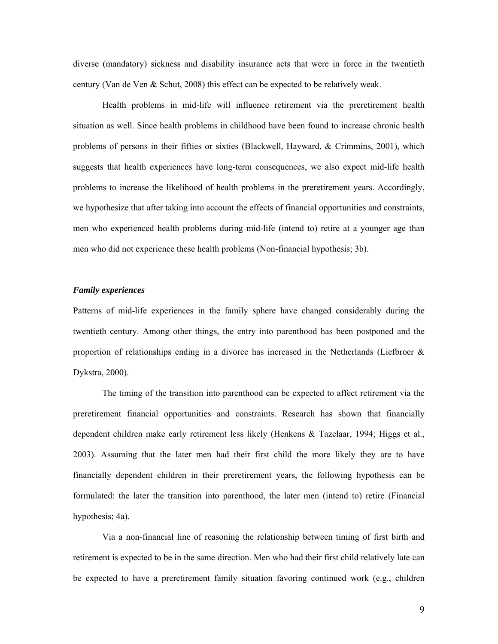diverse (mandatory) sickness and disability insurance acts that were in force in the twentieth century (Van de Ven & Schut, 2008) this effect can be expected to be relatively weak.

Health problems in mid-life will influence retirement via the preretirement health situation as well. Since health problems in childhood have been found to increase chronic health problems of persons in their fifties or sixties (Blackwell, Hayward, & Crimmins, 2001), which suggests that health experiences have long-term consequences, we also expect mid-life health problems to increase the likelihood of health problems in the preretirement years. Accordingly, we hypothesize that after taking into account the effects of financial opportunities and constraints, men who experienced health problems during mid-life (intend to) retire at a younger age than men who did not experience these health problems (Non-financial hypothesis; 3b).

## *Family experiences*

Patterns of mid-life experiences in the family sphere have changed considerably during the twentieth century. Among other things, the entry into parenthood has been postponed and the proportion of relationships ending in a divorce has increased in the Netherlands (Liefbroer  $\&$ Dykstra, 2000).

The timing of the transition into parenthood can be expected to affect retirement via the preretirement financial opportunities and constraints. Research has shown that financially dependent children make early retirement less likely (Henkens & Tazelaar, 1994; Higgs et al., 2003). Assuming that the later men had their first child the more likely they are to have financially dependent children in their preretirement years, the following hypothesis can be formulated: the later the transition into parenthood, the later men (intend to) retire (Financial hypothesis; 4a).

Via a non-financial line of reasoning the relationship between timing of first birth and retirement is expected to be in the same direction. Men who had their first child relatively late can be expected to have a preretirement family situation favoring continued work (e.g., children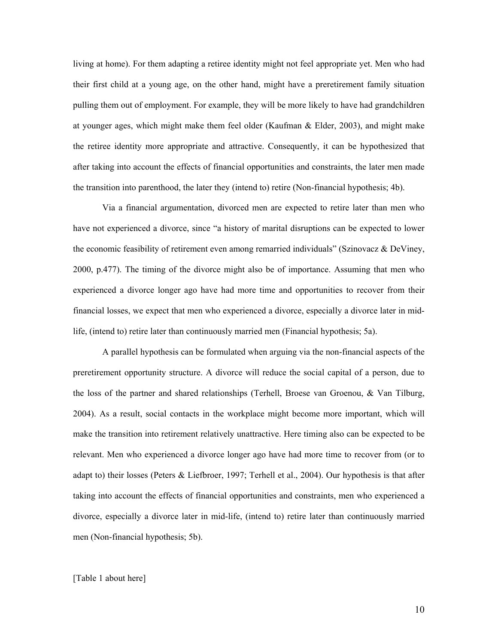living at home). For them adapting a retiree identity might not feel appropriate yet. Men who had their first child at a young age, on the other hand, might have a preretirement family situation pulling them out of employment. For example, they will be more likely to have had grandchildren at younger ages, which might make them feel older (Kaufman  $\&$  Elder, 2003), and might make the retiree identity more appropriate and attractive. Consequently, it can be hypothesized that after taking into account the effects of financial opportunities and constraints, the later men made the transition into parenthood, the later they (intend to) retire (Non-financial hypothesis; 4b).

Via a financial argumentation, divorced men are expected to retire later than men who have not experienced a divorce, since "a history of marital disruptions can be expected to lower the economic feasibility of retirement even among remarried individuals" (Szinovacz & DeViney, 2000, p.477). The timing of the divorce might also be of importance. Assuming that men who experienced a divorce longer ago have had more time and opportunities to recover from their financial losses, we expect that men who experienced a divorce, especially a divorce later in midlife, (intend to) retire later than continuously married men (Financial hypothesis; 5a).

A parallel hypothesis can be formulated when arguing via the non-financial aspects of the preretirement opportunity structure. A divorce will reduce the social capital of a person, due to the loss of the partner and shared relationships (Terhell, Broese van Groenou, & Van Tilburg, 2004). As a result, social contacts in the workplace might become more important, which will make the transition into retirement relatively unattractive. Here timing also can be expected to be relevant. Men who experienced a divorce longer ago have had more time to recover from (or to adapt to) their losses (Peters & Liefbroer, 1997; Terhell et al., 2004). Our hypothesis is that after taking into account the effects of financial opportunities and constraints, men who experienced a divorce, especially a divorce later in mid-life, (intend to) retire later than continuously married men (Non-financial hypothesis; 5b).

#### [Table 1 about here]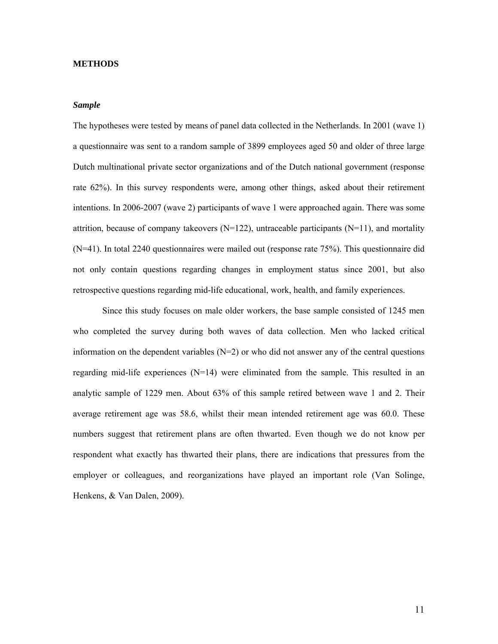#### **METHODS**

#### *Sample*

The hypotheses were tested by means of panel data collected in the Netherlands. In 2001 (wave 1) a questionnaire was sent to a random sample of 3899 employees aged 50 and older of three large Dutch multinational private sector organizations and of the Dutch national government (response rate 62%). In this survey respondents were, among other things, asked about their retirement intentions. In 2006-2007 (wave 2) participants of wave 1 were approached again. There was some attrition, because of company takeovers ( $N=122$ ), untraceable participants ( $N=11$ ), and mortality (N=41). In total 2240 questionnaires were mailed out (response rate 75%). This questionnaire did not only contain questions regarding changes in employment status since 2001, but also retrospective questions regarding mid-life educational, work, health, and family experiences.

Since this study focuses on male older workers, the base sample consisted of 1245 men who completed the survey during both waves of data collection. Men who lacked critical information on the dependent variables  $(N=2)$  or who did not answer any of the central questions regarding mid-life experiences (N=14) were eliminated from the sample. This resulted in an analytic sample of 1229 men. About 63% of this sample retired between wave 1 and 2. Their average retirement age was 58.6, whilst their mean intended retirement age was 60.0. These numbers suggest that retirement plans are often thwarted. Even though we do not know per respondent what exactly has thwarted their plans, there are indications that pressures from the employer or colleagues, and reorganizations have played an important role (Van Solinge, Henkens, & Van Dalen, 2009).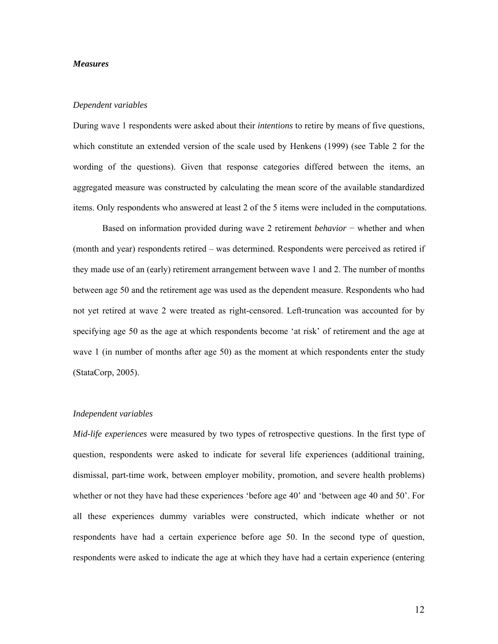## *Measures*

#### *Dependent variables*

During wave 1 respondents were asked about their *intentions* to retire by means of five questions, which constitute an extended version of the scale used by Henkens (1999) (see Table 2 for the wording of the questions). Given that response categories differed between the items, an aggregated measure was constructed by calculating the mean score of the available standardized items. Only respondents who answered at least 2 of the 5 items were included in the computations.

Based on information provided during wave 2 retirement *behavior* − whether and when (month and year) respondents retired – was determined. Respondents were perceived as retired if they made use of an (early) retirement arrangement between wave 1 and 2. The number of months between age 50 and the retirement age was used as the dependent measure. Respondents who had not yet retired at wave 2 were treated as right-censored. Left-truncation was accounted for by specifying age 50 as the age at which respondents become 'at risk' of retirement and the age at wave 1 (in number of months after age 50) as the moment at which respondents enter the study (StataCorp, 2005).

## *Independent variables*

*Mid-life experiences* were measured by two types of retrospective questions. In the first type of question, respondents were asked to indicate for several life experiences (additional training, dismissal, part-time work, between employer mobility, promotion, and severe health problems) whether or not they have had these experiences 'before age 40' and 'between age 40 and 50'. For all these experiences dummy variables were constructed, which indicate whether or not respondents have had a certain experience before age 50. In the second type of question, respondents were asked to indicate the age at which they have had a certain experience (entering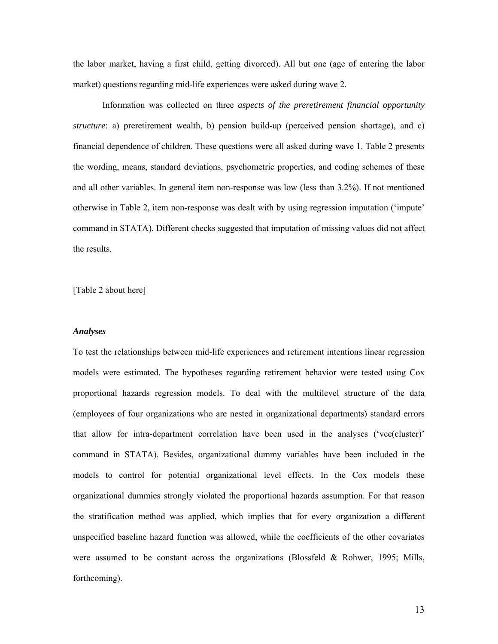the labor market, having a first child, getting divorced). All but one (age of entering the labor market) questions regarding mid-life experiences were asked during wave 2.

 Information was collected on three *aspects of the preretirement financial opportunity structure*: a) preretirement wealth, b) pension build-up (perceived pension shortage), and c) financial dependence of children. These questions were all asked during wave 1. Table 2 presents the wording, means, standard deviations, psychometric properties, and coding schemes of these and all other variables. In general item non-response was low (less than 3.2%). If not mentioned otherwise in Table 2, item non-response was dealt with by using regression imputation ('impute' command in STATA). Different checks suggested that imputation of missing values did not affect the results.

[Table 2 about here]

## *Analyses*

To test the relationships between mid-life experiences and retirement intentions linear regression models were estimated. The hypotheses regarding retirement behavior were tested using Cox proportional hazards regression models. To deal with the multilevel structure of the data (employees of four organizations who are nested in organizational departments) standard errors that allow for intra-department correlation have been used in the analyses ('vce(cluster)' command in STATA). Besides, organizational dummy variables have been included in the models to control for potential organizational level effects. In the Cox models these organizational dummies strongly violated the proportional hazards assumption. For that reason the stratification method was applied, which implies that for every organization a different unspecified baseline hazard function was allowed, while the coefficients of the other covariates were assumed to be constant across the organizations (Blossfeld & Rohwer, 1995; Mills, forthcoming).

13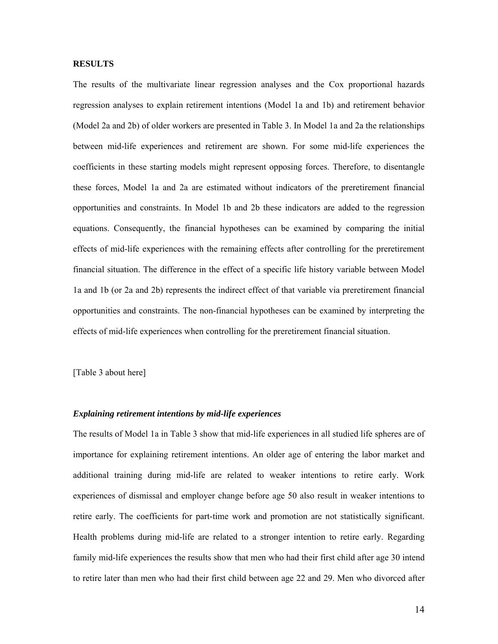## **RESULTS**

The results of the multivariate linear regression analyses and the Cox proportional hazards regression analyses to explain retirement intentions (Model 1a and 1b) and retirement behavior (Model 2a and 2b) of older workers are presented in Table 3. In Model 1a and 2a the relationships between mid-life experiences and retirement are shown. For some mid-life experiences the coefficients in these starting models might represent opposing forces. Therefore, to disentangle these forces, Model 1a and 2a are estimated without indicators of the preretirement financial opportunities and constraints. In Model 1b and 2b these indicators are added to the regression equations. Consequently, the financial hypotheses can be examined by comparing the initial effects of mid-life experiences with the remaining effects after controlling for the preretirement financial situation. The difference in the effect of a specific life history variable between Model 1a and 1b (or 2a and 2b) represents the indirect effect of that variable via preretirement financial opportunities and constraints. The non-financial hypotheses can be examined by interpreting the effects of mid-life experiences when controlling for the preretirement financial situation.

[Table 3 about here]

#### *Explaining retirement intentions by mid-life experiences*

The results of Model 1a in Table 3 show that mid-life experiences in all studied life spheres are of importance for explaining retirement intentions. An older age of entering the labor market and additional training during mid-life are related to weaker intentions to retire early. Work experiences of dismissal and employer change before age 50 also result in weaker intentions to retire early. The coefficients for part-time work and promotion are not statistically significant. Health problems during mid-life are related to a stronger intention to retire early. Regarding family mid-life experiences the results show that men who had their first child after age 30 intend to retire later than men who had their first child between age 22 and 29. Men who divorced after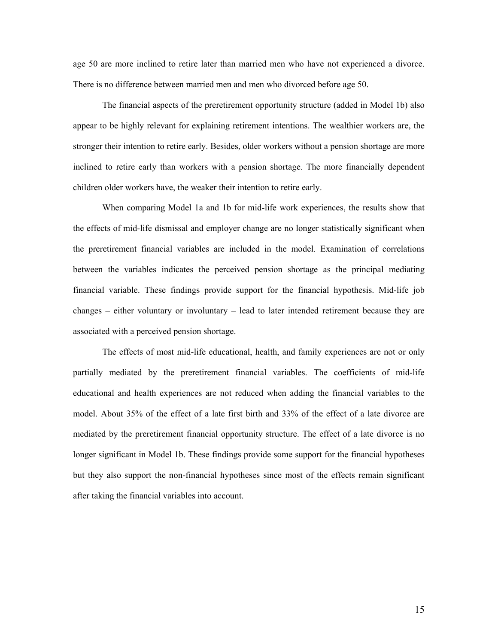age 50 are more inclined to retire later than married men who have not experienced a divorce. There is no difference between married men and men who divorced before age 50.

 The financial aspects of the preretirement opportunity structure (added in Model 1b) also appear to be highly relevant for explaining retirement intentions. The wealthier workers are, the stronger their intention to retire early. Besides, older workers without a pension shortage are more inclined to retire early than workers with a pension shortage. The more financially dependent children older workers have, the weaker their intention to retire early.

When comparing Model 1a and 1b for mid-life work experiences, the results show that the effects of mid-life dismissal and employer change are no longer statistically significant when the preretirement financial variables are included in the model. Examination of correlations between the variables indicates the perceived pension shortage as the principal mediating financial variable. These findings provide support for the financial hypothesis. Mid-life job changes – either voluntary or involuntary – lead to later intended retirement because they are associated with a perceived pension shortage.

The effects of most mid-life educational, health, and family experiences are not or only partially mediated by the preretirement financial variables. The coefficients of mid-life educational and health experiences are not reduced when adding the financial variables to the model. About 35% of the effect of a late first birth and 33% of the effect of a late divorce are mediated by the preretirement financial opportunity structure. The effect of a late divorce is no longer significant in Model 1b. These findings provide some support for the financial hypotheses but they also support the non-financial hypotheses since most of the effects remain significant after taking the financial variables into account.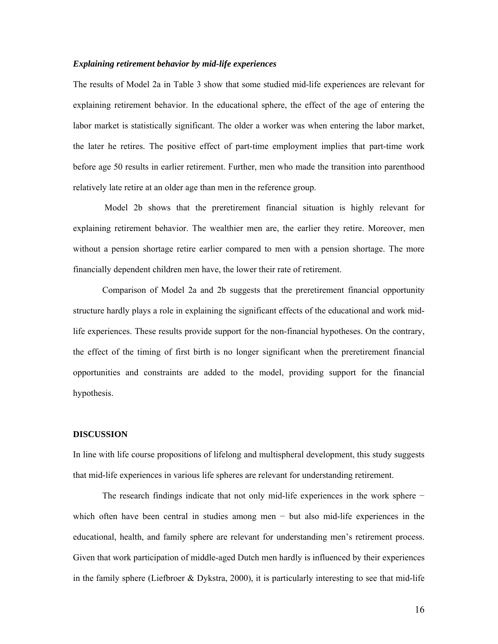## *Explaining retirement behavior by mid-life experiences*

The results of Model 2a in Table 3 show that some studied mid-life experiences are relevant for explaining retirement behavior. In the educational sphere, the effect of the age of entering the labor market is statistically significant. The older a worker was when entering the labor market, the later he retires. The positive effect of part-time employment implies that part-time work before age 50 results in earlier retirement. Further, men who made the transition into parenthood relatively late retire at an older age than men in the reference group.

 Model 2b shows that the preretirement financial situation is highly relevant for explaining retirement behavior. The wealthier men are, the earlier they retire. Moreover, men without a pension shortage retire earlier compared to men with a pension shortage. The more financially dependent children men have, the lower their rate of retirement.

Comparison of Model 2a and 2b suggests that the preretirement financial opportunity structure hardly plays a role in explaining the significant effects of the educational and work midlife experiences. These results provide support for the non-financial hypotheses. On the contrary, the effect of the timing of first birth is no longer significant when the preretirement financial opportunities and constraints are added to the model, providing support for the financial hypothesis.

## **DISCUSSION**

In line with life course propositions of lifelong and multispheral development, this study suggests that mid-life experiences in various life spheres are relevant for understanding retirement.

The research findings indicate that not only mid-life experiences in the work sphere − which often have been central in studies among men − but also mid-life experiences in the educational, health, and family sphere are relevant for understanding men's retirement process. Given that work participation of middle-aged Dutch men hardly is influenced by their experiences in the family sphere (Liefbroer & Dykstra, 2000), it is particularly interesting to see that mid-life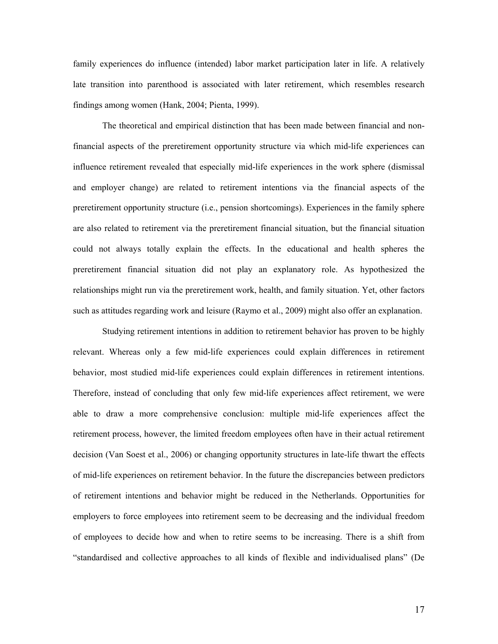family experiences do influence (intended) labor market participation later in life. A relatively late transition into parenthood is associated with later retirement, which resembles research findings among women (Hank, 2004; Pienta, 1999).

The theoretical and empirical distinction that has been made between financial and nonfinancial aspects of the preretirement opportunity structure via which mid-life experiences can influence retirement revealed that especially mid-life experiences in the work sphere (dismissal and employer change) are related to retirement intentions via the financial aspects of the preretirement opportunity structure (i.e., pension shortcomings). Experiences in the family sphere are also related to retirement via the preretirement financial situation, but the financial situation could not always totally explain the effects. In the educational and health spheres the preretirement financial situation did not play an explanatory role. As hypothesized the relationships might run via the preretirement work, health, and family situation. Yet, other factors such as attitudes regarding work and leisure (Raymo et al., 2009) might also offer an explanation.

Studying retirement intentions in addition to retirement behavior has proven to be highly relevant. Whereas only a few mid-life experiences could explain differences in retirement behavior, most studied mid-life experiences could explain differences in retirement intentions. Therefore, instead of concluding that only few mid-life experiences affect retirement, we were able to draw a more comprehensive conclusion: multiple mid-life experiences affect the retirement process, however, the limited freedom employees often have in their actual retirement decision (Van Soest et al., 2006) or changing opportunity structures in late-life thwart the effects of mid-life experiences on retirement behavior. In the future the discrepancies between predictors of retirement intentions and behavior might be reduced in the Netherlands. Opportunities for employers to force employees into retirement seem to be decreasing and the individual freedom of employees to decide how and when to retire seems to be increasing. There is a shift from "standardised and collective approaches to all kinds of flexible and individualised plans" (De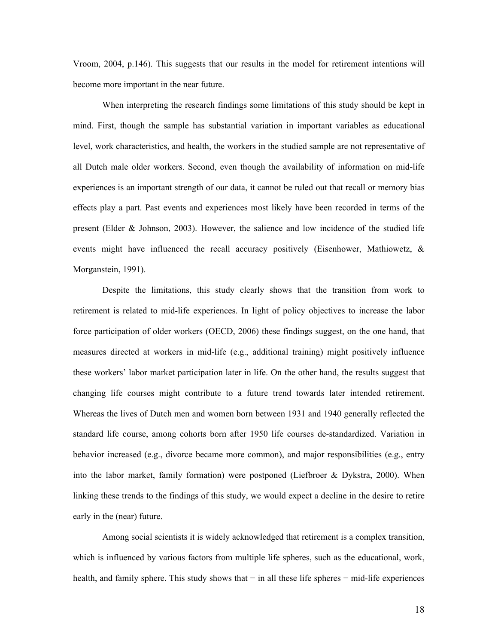Vroom, 2004, p.146). This suggests that our results in the model for retirement intentions will become more important in the near future.

When interpreting the research findings some limitations of this study should be kept in mind. First, though the sample has substantial variation in important variables as educational level, work characteristics, and health, the workers in the studied sample are not representative of all Dutch male older workers. Second, even though the availability of information on mid-life experiences is an important strength of our data, it cannot be ruled out that recall or memory bias effects play a part. Past events and experiences most likely have been recorded in terms of the present (Elder & Johnson, 2003). However, the salience and low incidence of the studied life events might have influenced the recall accuracy positively (Eisenhower, Mathiowetz, & Morganstein, 1991).

Despite the limitations, this study clearly shows that the transition from work to retirement is related to mid-life experiences. In light of policy objectives to increase the labor force participation of older workers (OECD, 2006) these findings suggest, on the one hand, that measures directed at workers in mid-life (e.g., additional training) might positively influence these workers' labor market participation later in life. On the other hand, the results suggest that changing life courses might contribute to a future trend towards later intended retirement. Whereas the lives of Dutch men and women born between 1931 and 1940 generally reflected the standard life course, among cohorts born after 1950 life courses de-standardized. Variation in behavior increased (e.g., divorce became more common), and major responsibilities (e.g., entry into the labor market, family formation) were postponed (Liefbroer & Dykstra, 2000). When linking these trends to the findings of this study, we would expect a decline in the desire to retire early in the (near) future.

Among social scientists it is widely acknowledged that retirement is a complex transition, which is influenced by various factors from multiple life spheres, such as the educational, work, health, and family sphere. This study shows that − in all these life spheres − mid-life experiences

18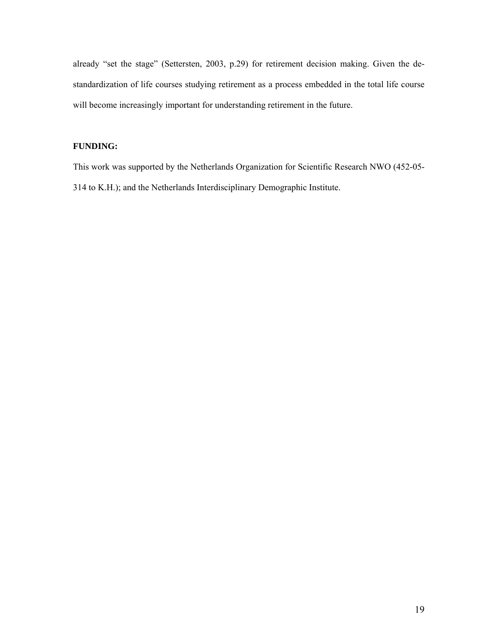already "set the stage" (Settersten, 2003, p.29) for retirement decision making. Given the destandardization of life courses studying retirement as a process embedded in the total life course will become increasingly important for understanding retirement in the future.

# **FUNDING:**

This work was supported by the Netherlands Organization for Scientific Research NWO (452-05- 314 to K.H.); and the Netherlands Interdisciplinary Demographic Institute.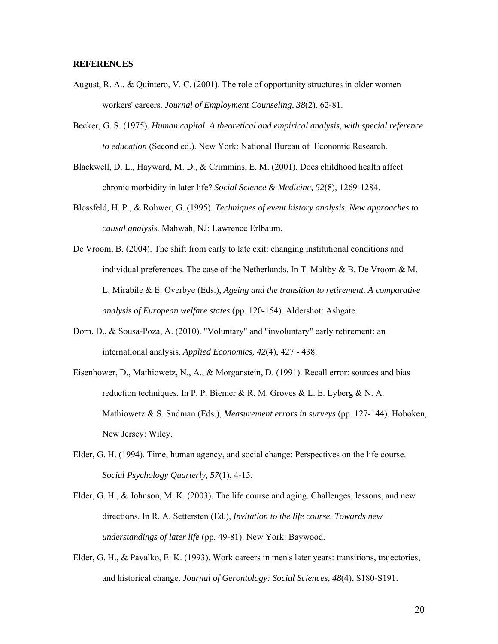#### **REFERENCES**

- August, R. A., & Quintero, V. C. (2001). The role of opportunity structures in older women workers' careers. *Journal of Employment Counseling, 38*(2), 62-81.
- Becker, G. S. (1975). *Human capital. A theoretical and empirical analysis, with special reference to education* (Second ed.). New York: National Bureau of Economic Research.
- Blackwell, D. L., Hayward, M. D., & Crimmins, E. M. (2001). Does childhood health affect chronic morbidity in later life? *Social Science & Medicine, 52*(8), 1269-1284.
- Blossfeld, H. P., & Rohwer, G. (1995). *Techniques of event history analysis. New approaches to causal analysis*. Mahwah, NJ: Lawrence Erlbaum.
- De Vroom, B. (2004). The shift from early to late exit: changing institutional conditions and individual preferences. The case of the Netherlands. In T. Maltby  $\& B$ . De Vroom  $\& M$ . L. Mirabile & E. Overbye (Eds.), *Ageing and the transition to retirement. A comparative analysis of European welfare states* (pp. 120-154). Aldershot: Ashgate.
- Dorn, D., & Sousa-Poza, A. (2010). "Voluntary" and "involuntary" early retirement: an international analysis. *Applied Economics, 42*(4), 427 - 438.
- Eisenhower, D., Mathiowetz, N., A., & Morganstein, D. (1991). Recall error: sources and bias reduction techniques. In P. P. Biemer & R. M. Groves & L. E. Lyberg & N. A. Mathiowetz & S. Sudman (Eds.), *Measurement errors in surveys* (pp. 127-144). Hoboken, New Jersey: Wiley.
- Elder, G. H. (1994). Time, human agency, and social change: Perspectives on the life course. *Social Psychology Quarterly, 57*(1), 4-15.
- Elder, G. H., & Johnson, M. K. (2003). The life course and aging. Challenges, lessons, and new directions. In R. A. Settersten (Ed.), *Invitation to the life course. Towards new understandings of later life* (pp. 49-81). New York: Baywood.
- Elder, G. H., & Pavalko, E. K. (1993). Work careers in men's later years: transitions, trajectories, and historical change. *Journal of Gerontology: Social Sciences, 48*(4), S180-S191.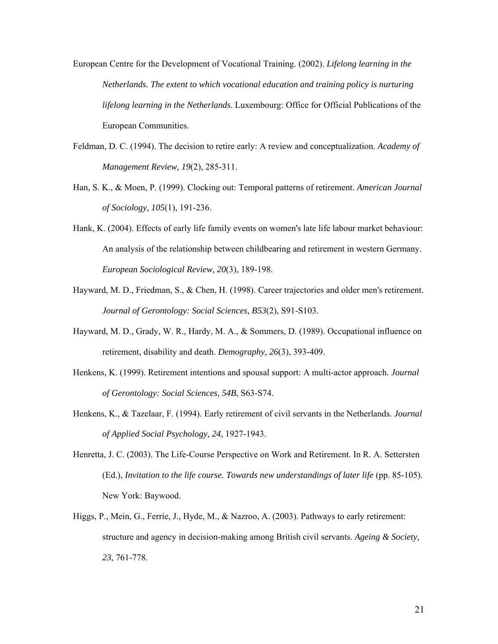European Centre for the Development of Vocational Training. (2002). *Lifelong learning in the Netherlands. The extent to which vocational education and training policy is nurturing lifelong learning in the Netherlands*. Luxembourg: Office for Official Publications of the European Communities.

- Feldman, D. C. (1994). The decision to retire early: A review and conceptualization. *Academy of Management Review, 19*(2), 285-311.
- Han, S. K., & Moen, P. (1999). Clocking out: Temporal patterns of retirement. *American Journal of Sociology, 105*(1), 191-236.
- Hank, K. (2004). Effects of early life family events on women's late life labour market behaviour: An analysis of the relationship between childbearing and retirement in western Germany. *European Sociological Review, 20*(3), 189-198.
- Hayward, M. D., Friedman, S., & Chen, H. (1998). Career trajectories and older men's retirement. *Journal of Gerontology: Social Sciences, B53*(2), S91-S103.
- Hayward, M. D., Grady, W. R., Hardy, M. A., & Sommers, D. (1989). Occupational influence on retirement, disability and death. *Demography, 26*(3), 393-409.
- Henkens, K. (1999). Retirement intentions and spousal support: A multi-actor approach. *Journal of Gerontology: Social Sciences, 54B*, S63-S74.
- Henkens, K., & Tazelaar, F. (1994). Early retirement of civil servants in the Netherlands. *Journal of Applied Social Psychology, 24*, 1927-1943.
- Henretta, J. C. (2003). The Life-Course Perspective on Work and Retirement. In R. A. Settersten (Ed.), *Invitation to the life course. Towards new understandings of later life* (pp. 85-105). New York: Baywood.
- Higgs, P., Mein, G., Ferrie, J., Hyde, M., & Nazroo, A. (2003). Pathways to early retirement: structure and agency in decision-making among British civil servants. *Ageing & Society, 23*, 761-778.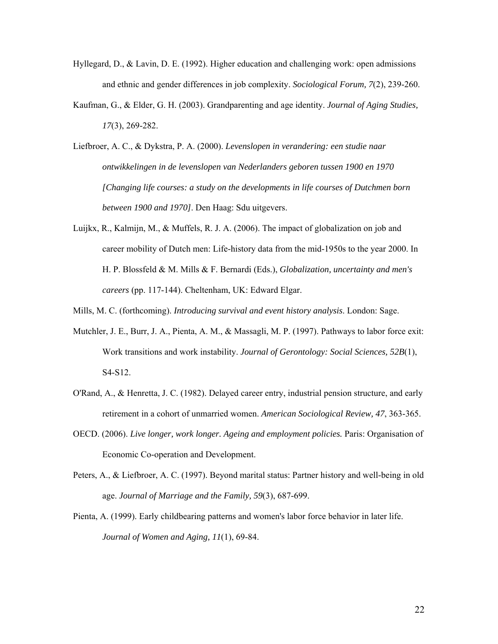- Hyllegard, D., & Lavin, D. E. (1992). Higher education and challenging work: open admissions and ethnic and gender differences in job complexity. *Sociological Forum, 7*(2), 239-260.
- Kaufman, G., & Elder, G. H. (2003). Grandparenting and age identity. *Journal of Aging Studies, 17*(3), 269-282.
- Liefbroer, A. C., & Dykstra, P. A. (2000). *Levenslopen in verandering: een studie naar ontwikkelingen in de levenslopen van Nederlanders geboren tussen 1900 en 1970 [Changing life courses: a study on the developments in life courses of Dutchmen born between 1900 and 1970]*. Den Haag: Sdu uitgevers.
- Luijkx, R., Kalmijn, M., & Muffels, R. J. A. (2006). The impact of globalization on job and career mobility of Dutch men: Life-history data from the mid-1950s to the year 2000. In H. P. Blossfeld & M. Mills & F. Bernardi (Eds.), *Globalization, uncertainty and men's careers* (pp. 117-144). Cheltenham, UK: Edward Elgar.
- Mills, M. C. (forthcoming). *Introducing survival and event history analysis*. London: Sage.
- Mutchler, J. E., Burr, J. A., Pienta, A. M., & Massagli, M. P. (1997). Pathways to labor force exit: Work transitions and work instability. *Journal of Gerontology: Social Sciences, 52B*(1), S4-S12.
- O'Rand, A., & Henretta, J. C. (1982). Delayed career entry, industrial pension structure, and early retirement in a cohort of unmarried women. *American Sociological Review, 47*, 363-365.
- OECD. (2006). *Live longer, work longer. Ageing and employment policies.* Paris: Organisation of Economic Co-operation and Development.
- Peters, A., & Liefbroer, A. C. (1997). Beyond marital status: Partner history and well-being in old age. *Journal of Marriage and the Family, 59*(3), 687-699.
- Pienta, A. (1999). Early childbearing patterns and women's labor force behavior in later life. *Journal of Women and Aging, 11*(1), 69-84.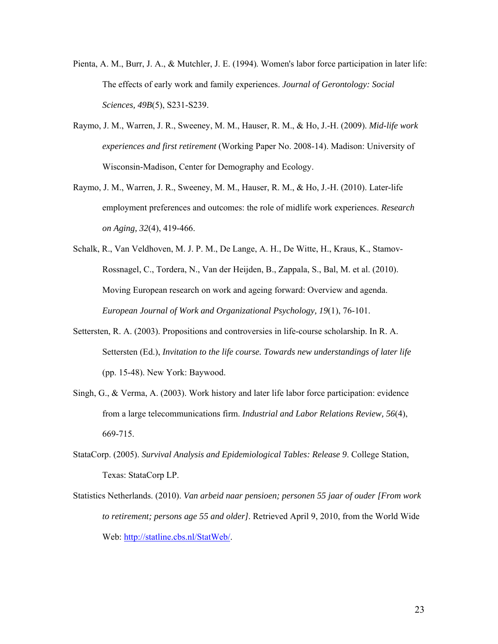- Pienta, A. M., Burr, J. A., & Mutchler, J. E. (1994). Women's labor force participation in later life: The effects of early work and family experiences. *Journal of Gerontology: Social Sciences, 49B*(5), S231-S239.
- Raymo, J. M., Warren, J. R., Sweeney, M. M., Hauser, R. M., & Ho, J.-H. (2009). *Mid-life work experiences and first retirement* (Working Paper No. 2008-14). Madison: University of Wisconsin-Madison, Center for Demography and Ecology.
- Raymo, J. M., Warren, J. R., Sweeney, M. M., Hauser, R. M., & Ho, J.-H. (2010). Later-life employment preferences and outcomes: the role of midlife work experiences. *Research on Aging, 32*(4), 419-466.
- Schalk, R., Van Veldhoven, M. J. P. M., De Lange, A. H., De Witte, H., Kraus, K., Stamov-Rossnagel, C., Tordera, N., Van der Heijden, B., Zappala, S., Bal, M. et al. (2010). Moving European research on work and ageing forward: Overview and agenda. *European Journal of Work and Organizational Psychology, 19*(1), 76-101.
- Settersten, R. A. (2003). Propositions and controversies in life-course scholarship. In R. A. Settersten (Ed.), *Invitation to the life course. Towards new understandings of later life* (pp. 15-48). New York: Baywood.
- Singh, G., & Verma, A. (2003). Work history and later life labor force participation: evidence from a large telecommunications firm. *Industrial and Labor Relations Review, 56*(4), 669-715.
- StataCorp. (2005). *Survival Analysis and Epidemiological Tables: Release 9*. College Station, Texas: StataCorp LP.
- Statistics Netherlands. (2010). *Van arbeid naar pensioen; personen 55 jaar of ouder [From work to retirement; persons age 55 and older]*. Retrieved April 9, 2010, from the World Wide Web: http://statline.cbs.nl/StatWeb/.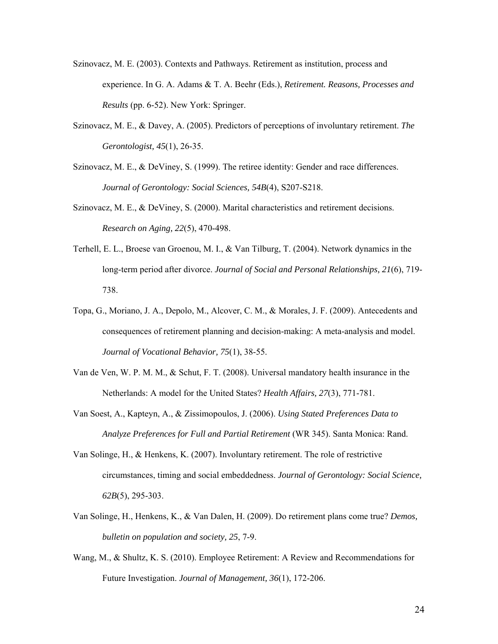- Szinovacz, M. E. (2003). Contexts and Pathways. Retirement as institution, process and experience. In G. A. Adams & T. A. Beehr (Eds.), *Retirement. Reasons, Processes and Results* (pp. 6-52). New York: Springer.
- Szinovacz, M. E., & Davey, A. (2005). Predictors of perceptions of involuntary retirement. *The Gerontologist, 45*(1), 26-35.
- Szinovacz, M. E., & DeViney, S. (1999). The retiree identity: Gender and race differences. *Journal of Gerontology: Social Sciences, 54B*(4), S207-S218.
- Szinovacz, M. E., & DeViney, S. (2000). Marital characteristics and retirement decisions. *Research on Aging, 22*(5), 470-498.
- Terhell, E. L., Broese van Groenou, M. I., & Van Tilburg, T. (2004). Network dynamics in the long-term period after divorce. *Journal of Social and Personal Relationships, 21*(6), 719- 738.
- Topa, G., Moriano, J. A., Depolo, M., Alcover, C. M., & Morales, J. F. (2009). Antecedents and consequences of retirement planning and decision-making: A meta-analysis and model. *Journal of Vocational Behavior, 75*(1), 38-55.
- Van de Ven, W. P. M. M., & Schut, F. T. (2008). Universal mandatory health insurance in the Netherlands: A model for the United States? *Health Affairs, 27*(3), 771-781.
- Van Soest, A., Kapteyn, A., & Zissimopoulos, J. (2006). *Using Stated Preferences Data to Analyze Preferences for Full and Partial Retirement* (WR 345). Santa Monica: Rand.
- Van Solinge, H., & Henkens, K. (2007). Involuntary retirement. The role of restrictive circumstances, timing and social embeddedness. *Journal of Gerontology: Social Science, 62B*(5), 295-303.
- Van Solinge, H., Henkens, K., & Van Dalen, H. (2009). Do retirement plans come true? *Demos, bulletin on population and society, 25*, 7-9.
- Wang, M., & Shultz, K. S. (2010). Employee Retirement: A Review and Recommendations for Future Investigation. *Journal of Management, 36*(1), 172-206.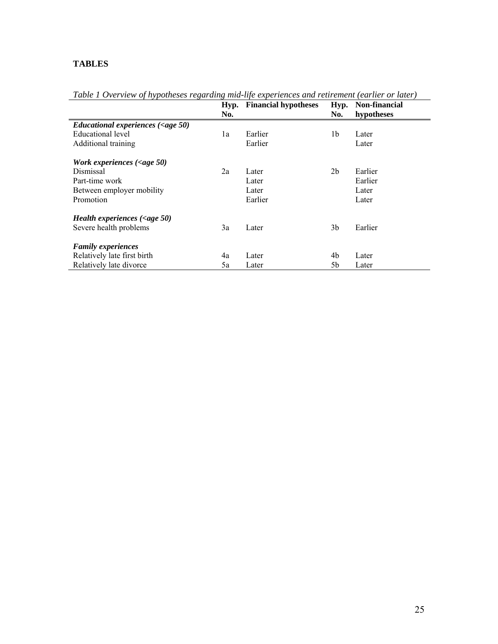# **TABLES**

|                                                                  | Hyp.<br>No. | <b>Financial hypotheses</b> | Hyp.<br>No.    | Non-financial<br>hypotheses |
|------------------------------------------------------------------|-------------|-----------------------------|----------------|-----------------------------|
| Educational experiences $\langle \langle \text{age } 50 \rangle$ |             |                             |                |                             |
| Educational level                                                | 1a          | Earlier                     | 1b             | Later                       |
| Additional training                                              |             | Earlier                     |                | Later                       |
| Work experiences $\langle \langle \text{age } 50 \rangle$        |             |                             |                |                             |
| Dismissal                                                        | 2a          | Later                       | 2 <sub>b</sub> | Earlier                     |
| Part-time work                                                   |             | Later                       |                | Earlier                     |
| Between employer mobility                                        |             | Later                       |                | Later                       |
| Promotion                                                        |             | Earlier                     |                | Later                       |
| Health experiences $\langle \langle \text{age } 50 \rangle$      |             |                             |                |                             |
| Severe health problems                                           | 3a          | Later                       | 3b             | Earlier                     |
| <b>Family experiences</b>                                        |             |                             |                |                             |
| Relatively late first birth                                      | 4a          | Later                       | 4b             | Later                       |
| Relatively late divorce                                          | 5a          | Later                       | 5b             | Later                       |

*Table 1 Overview of hypotheses regarding mid-life experiences and retirement (earlier or later)*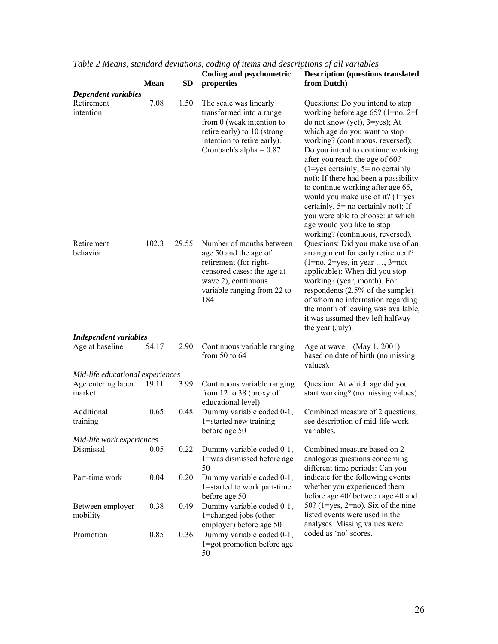|                                                        | Mean  | <b>SD</b> | Coding and psychometric<br>properties                                                                                                                                      | <b>Description (questions translated</b><br>from Dutch)                                                                                                                                                                                                                                                                                                                                                                                                                                                                                                                       |
|--------------------------------------------------------|-------|-----------|----------------------------------------------------------------------------------------------------------------------------------------------------------------------------|-------------------------------------------------------------------------------------------------------------------------------------------------------------------------------------------------------------------------------------------------------------------------------------------------------------------------------------------------------------------------------------------------------------------------------------------------------------------------------------------------------------------------------------------------------------------------------|
|                                                        |       |           |                                                                                                                                                                            |                                                                                                                                                                                                                                                                                                                                                                                                                                                                                                                                                                               |
| Dependent variables<br>Retirement<br>intention         | 7.08  | 1.50      | The scale was linearly<br>transformed into a range<br>from 0 (weak intention to<br>retire early) to 10 (strong<br>intention to retire early).<br>Cronbach's alpha = $0.87$ | Questions: Do you intend to stop<br>working before age 65? $(1=no, 2=I)$<br>do not know (yet), 3=yes); At<br>which age do you want to stop<br>working? (continuous, reversed);<br>Do you intend to continue working<br>after you reach the age of 60?<br>$(1 = yes certainly, 5 = no certainly)$<br>not); If there had been a possibility                                                                                                                                                                                                                                     |
| Retirement<br>behavior<br><b>Independent variables</b> | 102.3 | 29.55     | Number of months between<br>age 50 and the age of<br>retirement (for right-<br>censored cases: the age at<br>wave 2), continuous<br>variable ranging from 22 to<br>184     | to continue working after age 65,<br>would you make use of it? (1=yes<br>certainly, 5= no certainly not); If<br>you were able to choose: at which<br>age would you like to stop<br>working? (continuous, reversed).<br>Questions: Did you make use of an<br>arrangement for early retirement?<br>$(1=no, 2=yes, in year \dots, 3=not$<br>applicable); When did you stop<br>working? (year, month). For<br>respondents (2.5% of the sample)<br>of whom no information regarding<br>the month of leaving was available,<br>it was assumed they left halfway<br>the year (July). |
| Age at baseline                                        | 54.17 | 2.90      | Continuous variable ranging<br>from $50$ to $64$                                                                                                                           | Age at wave 1 (May 1, 2001)<br>based on date of birth (no missing<br>values).                                                                                                                                                                                                                                                                                                                                                                                                                                                                                                 |
| Mid-life educational experiences                       |       |           |                                                                                                                                                                            |                                                                                                                                                                                                                                                                                                                                                                                                                                                                                                                                                                               |
| Age entering labor<br>market                           | 19.11 | 3.99      | Continuous variable ranging<br>from 12 to 38 (proxy of<br>educational level)                                                                                               | Question: At which age did you<br>start working? (no missing values).                                                                                                                                                                                                                                                                                                                                                                                                                                                                                                         |
| Additional<br>training                                 | 0.65  | 0.48      | Dummy variable coded 0-1,<br>1=started new training<br>before age 50                                                                                                       | Combined measure of 2 questions,<br>see description of mid-life work<br>variables.                                                                                                                                                                                                                                                                                                                                                                                                                                                                                            |
| Mid-life work experiences                              |       |           |                                                                                                                                                                            |                                                                                                                                                                                                                                                                                                                                                                                                                                                                                                                                                                               |
| Dismissal                                              | 0.05  | 0.22      | Dummy variable coded 0-1,<br>1=was dismissed before age<br>50                                                                                                              | Combined measure based on 2<br>analogous questions concerning<br>different time periods: Can you                                                                                                                                                                                                                                                                                                                                                                                                                                                                              |
| Part-time work                                         | 0.04  | 0.20      | Dummy variable coded 0-1,<br>1=started to work part-time<br>before age 50                                                                                                  | indicate for the following events<br>whether you experienced them<br>before age 40/ between age 40 and                                                                                                                                                                                                                                                                                                                                                                                                                                                                        |
| Between employer<br>mobility                           | 0.38  | 0.49      | Dummy variable coded 0-1,<br>1=changed jobs (other<br>employer) before age 50                                                                                              | 50? (1=yes, 2=no). Six of the nine<br>listed events were used in the<br>analyses. Missing values were                                                                                                                                                                                                                                                                                                                                                                                                                                                                         |
| Promotion                                              | 0.85  | 0.36      | Dummy variable coded 0-1,<br>1=got promotion before age<br>50                                                                                                              | coded as 'no' scores.                                                                                                                                                                                                                                                                                                                                                                                                                                                                                                                                                         |

*Table 2 Means, standard deviations, coding of items and descriptions of all variables*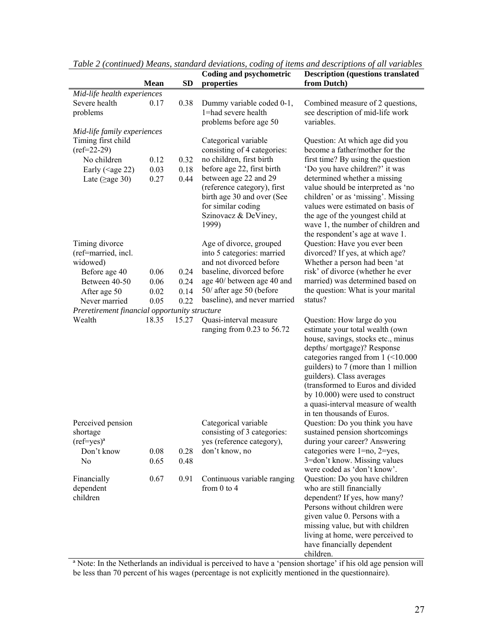|                                               |             |           | <b>Coding and psychometric</b> | <b>Description (questions translated</b>                               |  |  |  |
|-----------------------------------------------|-------------|-----------|--------------------------------|------------------------------------------------------------------------|--|--|--|
|                                               | <b>Mean</b> | <b>SD</b> | properties                     | from Dutch)                                                            |  |  |  |
| Mid-life health experiences                   |             |           |                                |                                                                        |  |  |  |
| Severe health                                 | 0.17        | 0.38      | Dummy variable coded 0-1,      | Combined measure of 2 questions,                                       |  |  |  |
| problems                                      |             |           | 1=had severe health            | see description of mid-life work                                       |  |  |  |
|                                               |             |           | problems before age 50         | variables.                                                             |  |  |  |
| Mid-life family experiences                   |             |           |                                |                                                                        |  |  |  |
| Timing first child                            |             |           | Categorical variable           | Question: At which age did you                                         |  |  |  |
| $(ref=22-29)$                                 |             |           | consisting of 4 categories:    | become a father/mother for the                                         |  |  |  |
| No children                                   | 0.12        | 0.32      | no children, first birth       | first time? By using the question                                      |  |  |  |
| Early ( $\leq$ age 22)                        | 0.03        | 0.18      | before age 22, first birth     | 'Do you have children?' it was                                         |  |  |  |
| Late ( $\geq$ age 30)                         | 0.27        | 0.44      | between age 22 and 29          | determined whether a missing                                           |  |  |  |
|                                               |             |           | (reference category), first    | value should be interpreted as 'no                                     |  |  |  |
|                                               |             |           | birth age 30 and over (See     | children' or as 'missing'. Missing                                     |  |  |  |
|                                               |             |           | for similar coding             | values were estimated on basis of                                      |  |  |  |
|                                               |             |           | Szinovacz & DeViney,<br>1999)  | the age of the youngest child at<br>wave 1, the number of children and |  |  |  |
|                                               |             |           |                                | the respondent's age at wave 1.                                        |  |  |  |
| Timing divorce                                |             |           | Age of divorce, grouped        | Question: Have you ever been                                           |  |  |  |
| (ref=married, incl.                           |             |           | into 5 categories: married     | divorced? If yes, at which age?                                        |  |  |  |
| widowed)                                      |             |           | and not divorced before        | Whether a person had been 'at                                          |  |  |  |
| Before age 40                                 | 0.06        | 0.24      | baseline, divorced before      | risk' of divorce (whether he ever                                      |  |  |  |
| Between 40-50                                 | 0.06        | 0.24      | age 40/ between age 40 and     | married) was determined based on                                       |  |  |  |
| After age 50                                  | 0.02        | 0.14      | 50/ after age 50 (before       | the question: What is your marital                                     |  |  |  |
| Never married                                 | 0.05        | 0.22      | baseline), and never married   | status?                                                                |  |  |  |
| Preretirement financial opportunity structure |             |           |                                |                                                                        |  |  |  |
| Wealth                                        | 18.35       | 15.27     | Quasi-interval measure         | Question: How large do you                                             |  |  |  |
|                                               |             |           | ranging from 0.23 to 56.72     | estimate your total wealth (own                                        |  |  |  |
|                                               |             |           |                                | house, savings, stocks etc., minus                                     |  |  |  |
|                                               |             |           |                                | depths/ mortgage)? Response                                            |  |  |  |
|                                               |             |           |                                | categories ranged from $1$ (<10.000                                    |  |  |  |
|                                               |             |           |                                | guilders) to 7 (more than 1 million                                    |  |  |  |
|                                               |             |           |                                | guilders). Class averages                                              |  |  |  |
|                                               |             |           |                                | (transformed to Euros and divided                                      |  |  |  |
|                                               |             |           |                                | by 10.000) were used to construct                                      |  |  |  |
|                                               |             |           |                                | a quasi-interval measure of wealth                                     |  |  |  |
|                                               |             |           |                                | in ten thousands of Euros.                                             |  |  |  |
| Perceived pension                             |             |           | Categorical variable           | Question: Do you think you have                                        |  |  |  |
| shortage                                      |             |           | consisting of 3 categories:    | sustained pension shortcomings                                         |  |  |  |
| $(ref=yes)^a$                                 |             |           | yes (reference category),      | during your career? Answering                                          |  |  |  |
| Don't know                                    | 0.08        | 0.28      | don't know, no                 | categories were 1=no, 2=yes,                                           |  |  |  |
| N <sub>0</sub>                                | 0.65        | 0.48      |                                | 3=don't know. Missing values                                           |  |  |  |
|                                               | 0.67        | 0.91      | Continuous variable ranging    | were coded as 'don't know'.                                            |  |  |  |
| Financially<br>dependent                      |             |           | from $0$ to $4$                | Question: Do you have children<br>who are still financially            |  |  |  |
| children                                      |             |           |                                | dependent? If yes, how many?                                           |  |  |  |
|                                               |             |           |                                | Persons without children were                                          |  |  |  |
|                                               |             |           |                                | given value 0. Persons with a                                          |  |  |  |
|                                               |             |           |                                | missing value, but with children                                       |  |  |  |
|                                               |             |           |                                | living at home, were perceived to                                      |  |  |  |
|                                               |             |           |                                | have financially dependent                                             |  |  |  |
|                                               |             |           |                                | children.                                                              |  |  |  |

*Table 2 (continued) Means, standard deviations, coding of items and descriptions of all variables* 

ª Note: In the Netherlands an individual is perceived to have a 'pension shortage' if his old age pension will be less than 70 percent of his wages (percentage is not explicitly mentioned in the questionnaire).